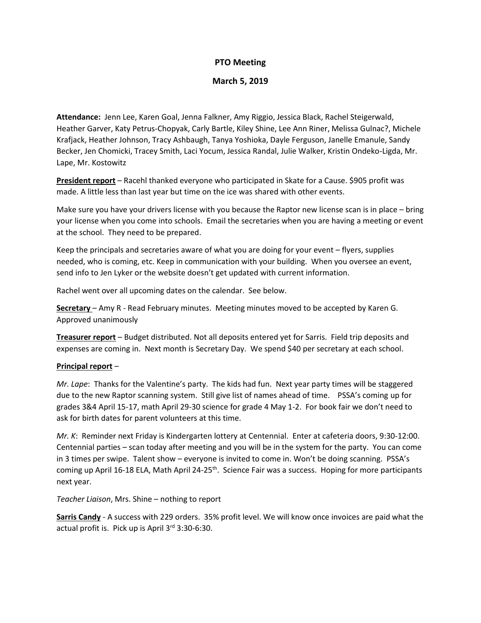## **PTO Meeting**

#### **March 5, 2019**

**Attendance:** Jenn Lee, Karen Goal, Jenna Falkner, Amy Riggio, Jessica Black, Rachel Steigerwald, Heather Garver, Katy Petrus-Chopyak, Carly Bartle, Kiley Shine, Lee Ann Riner, Melissa Gulnac?, Michele Krafjack, Heather Johnson, Tracy Ashbaugh, Tanya Yoshioka, Dayle Ferguson, Janelle Emanule, Sandy Becker, Jen Chomicki, Tracey Smith, Laci Yocum, Jessica Randal, Julie Walker, Kristin Ondeko-Ligda, Mr. Lape, Mr. Kostowitz

**President report** – Racehl thanked everyone who participated in Skate for a Cause. \$905 profit was made. A little less than last year but time on the ice was shared with other events.

Make sure you have your drivers license with you because the Raptor new license scan is in place – bring your license when you come into schools. Email the secretaries when you are having a meeting or event at the school. They need to be prepared.

Keep the principals and secretaries aware of what you are doing for your event – flyers, supplies needed, who is coming, etc. Keep in communication with your building. When you oversee an event, send info to Jen Lyker or the website doesn't get updated with current information.

Rachel went over all upcoming dates on the calendar. See below.

**Secretary** – Amy R - Read February minutes. Meeting minutes moved to be accepted by Karen G. Approved unanimously

**Treasurer report** – Budget distributed. Not all deposits entered yet for Sarris. Field trip deposits and expenses are coming in. Next month is Secretary Day. We spend \$40 per secretary at each school.

#### **Principal report** –

*Mr. Lape*: Thanks for the Valentine's party. The kids had fun. Next year party times will be staggered due to the new Raptor scanning system. Still give list of names ahead of time. PSSA's coming up for grades 3&4 April 15-17, math April 29-30 science for grade 4 May 1-2. For book fair we don't need to ask for birth dates for parent volunteers at this time.

*Mr. K*: Reminder next Friday is Kindergarten lottery at Centennial. Enter at cafeteria doors, 9:30-12:00. Centennial parties – scan today after meeting and you will be in the system for the party. You can come in 3 times per swipe. Talent show – everyone is invited to come in. Won't be doing scanning. PSSA's coming up April 16-18 ELA, Math April 24-25<sup>th</sup>. Science Fair was a success. Hoping for more participants next year.

*Teacher Liaison*, Mrs. Shine – nothing to report

**Sarris Candy** - A success with 229 orders. 35% profit level. We will know once invoices are paid what the actual profit is. Pick up is April 3rd 3:30-6:30.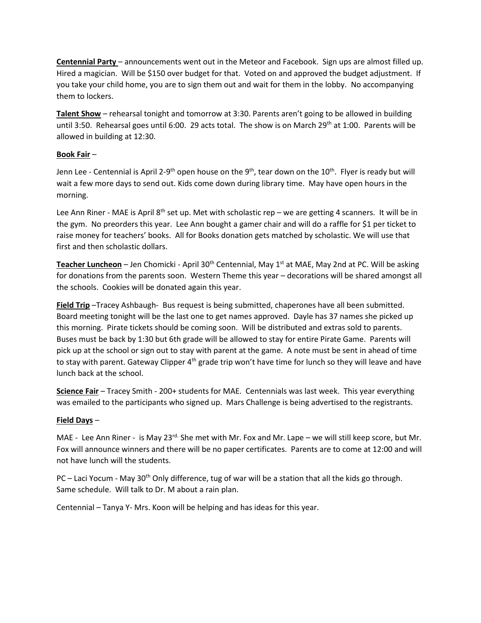**Centennial Party** – announcements went out in the Meteor and Facebook. Sign ups are almost filled up. Hired a magician. Will be \$150 over budget for that. Voted on and approved the budget adjustment. If you take your child home, you are to sign them out and wait for them in the lobby. No accompanying them to lockers.

**Talent Show** – rehearsal tonight and tomorrow at 3:30. Parents aren't going to be allowed in building until 3:50. Rehearsal goes until 6:00. 29 acts total. The show is on March 29<sup>th</sup> at 1:00. Parents will be allowed in building at 12:30.

## **Book Fair** –

Jenn Lee - Centennial is April 2-9<sup>th</sup> open house on the 9<sup>th</sup>, tear down on the 10<sup>th</sup>. Flyer is ready but will wait a few more days to send out. Kids come down during library time. May have open hours in the morning.

Lee Ann Riner - MAE is April  $8<sup>th</sup>$  set up. Met with scholastic rep – we are getting 4 scanners. It will be in the gym. No preorders this year. Lee Ann bought a gamer chair and will do a raffle for \$1 per ticket to raise money for teachers' books. All for Books donation gets matched by scholastic. We will use that first and then scholastic dollars.

**Teacher Luncheon** – Jen Chomicki - April 30<sup>th</sup> Centennial, May 1<sup>st</sup> at MAE, May 2nd at PC. Will be asking for donations from the parents soon. Western Theme this year – decorations will be shared amongst all the schools. Cookies will be donated again this year.

**Field Trip** –Tracey Ashbaugh- Bus request is being submitted, chaperones have all been submitted. Board meeting tonight will be the last one to get names approved. Dayle has 37 names she picked up this morning. Pirate tickets should be coming soon. Will be distributed and extras sold to parents. Buses must be back by 1:30 but 6th grade will be allowed to stay for entire Pirate Game. Parents will pick up at the school or sign out to stay with parent at the game. A note must be sent in ahead of time to stay with parent. Gateway Clipper  $4<sup>th</sup>$  grade trip won't have time for lunch so they will leave and have lunch back at the school.

**Science Fair** – Tracey Smith - 200+ students for MAE. Centennials was last week. This year everything was emailed to the participants who signed up. Mars Challenge is being advertised to the registrants.

# **Field Days** –

MAE - Lee Ann Riner - is May 23<sup>rd.</sup> She met with Mr. Fox and Mr. Lape – we will still keep score, but Mr. Fox will announce winners and there will be no paper certificates. Parents are to come at 12:00 and will not have lunch will the students.

PC – Laci Yocum - May 30<sup>th</sup> Only difference, tug of war will be a station that all the kids go through. Same schedule. Will talk to Dr. M about a rain plan.

Centennial – Tanya Y- Mrs. Koon will be helping and has ideas for this year.